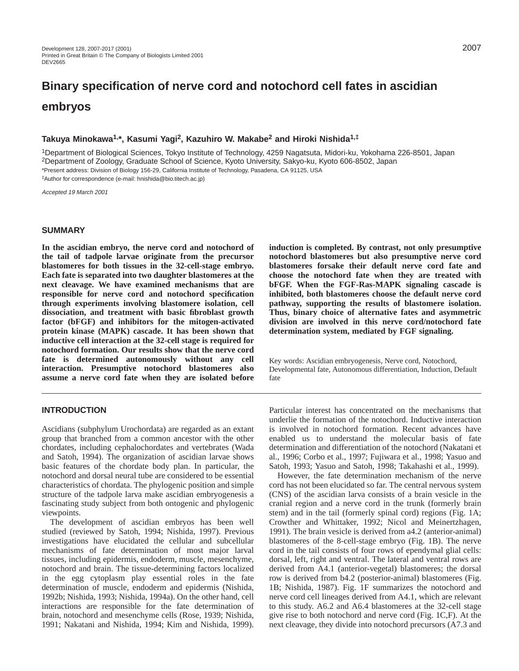# **Binary specification of nerve cord and notochord cell fates in ascidian embryos**

## **Takuya Minokawa1,\*, Kasumi Yagi2, Kazuhiro W. Makabe2 and Hiroki Nishida1,‡**

1Department of Biological Sciences, Tokyo Institute of Technology, 4259 Nagatsuta, Midori-ku, Yokohama 226-8501, Japan 2Department of Zoology, Graduate School of Science, Kyoto University, Sakyo-ku, Kyoto 606-8502, Japan \*Present address: Division of Biology 156-29, California Institute of Technology, Pasadena, CA 91125, USA ‡Author for correspondence (e-mail: hnishida@bio.titech.ac.jp)

Accepted 19 March 2001

### **SUMMARY**

**In the ascidian embryo, the nerve cord and notochord of the tail of tadpole larvae originate from the precursor blastomeres for both tissues in the 32-cell-stage embryo. Each fate is separated into two daughter blastomeres at the next cleavage. We have examined mechanisms that are responsible for nerve cord and notochord specification through experiments involving blastomere isolation, cell dissociation, and treatment with basic fibroblast growth factor (bFGF) and inhibitors for the mitogen-activated protein kinase (MAPK) cascade. It has been shown that inductive cell interaction at the 32-cell stage is required for notochord formation. Our results show that the nerve cord fate is determined autonomously without any cell interaction. Presumptive notochord blastomeres also assume a nerve cord fate when they are isolated before**

## **INTRODUCTION**

Ascidians (subphylum Urochordata) are regarded as an extant group that branched from a common ancestor with the other chordates, including cephalochordates and vertebrates (Wada and Satoh, 1994). The organization of ascidian larvae shows basic features of the chordate body plan. In particular, the notochord and dorsal neural tube are considered to be essential characteristics of chordata. The phylogenic position and simple structure of the tadpole larva make ascidian embryogenesis a fascinating study subject from both ontogenic and phylogenic viewpoints.

The development of ascidian embryos has been well studied (reviewed by Satoh, 1994; Nishida, 1997). Previous investigations have elucidated the cellular and subcellular mechanisms of fate determination of most major larval tissues, including epidermis, endoderm, muscle, mesenchyme, notochord and brain. The tissue-determining factors localized in the egg cytoplasm play essential roles in the fate determination of muscle, endoderm and epidermis (Nishida, 1992b; Nishida, 1993; Nishida, 1994a). On the other hand, cell interactions are responsible for the fate determination of brain, notochord and mesenchyme cells (Rose, 1939; Nishida, 1991; Nakatani and Nishida, 1994; Kim and Nishida, 1999). **induction is completed. By contrast, not only presumptive notochord blastomeres but also presumptive nerve cord blastomeres forsake their default nerve cord fate and choose the notochord fate when they are treated with bFGF. When the FGF-Ras-MAPK signaling cascade is inhibited, both blastomeres choose the default nerve cord pathway, supporting the results of blastomere isolation. Thus, binary choice of alternative fates and asymmetric division are involved in this nerve cord/notochord fate determination system, mediated by FGF signaling.**

Key words: Ascidian embryogenesis, Nerve cord, Notochord, Developmental fate, Autonomous differentiation, Induction, Default fate

Particular interest has concentrated on the mechanisms that underlie the formation of the notochord. Inductive interaction is involved in notochord formation. Recent advances have enabled us to understand the molecular basis of fate determination and differentiation of the notochord (Nakatani et al., 1996; Corbo et al., 1997; Fujiwara et al., 1998; Yasuo and Satoh, 1993; Yasuo and Satoh, 1998; Takahashi et al., 1999).

However, the fate determination mechanism of the nerve cord has not been elucidated so far. The central nervous system (CNS) of the ascidian larva consists of a brain vesicle in the cranial region and a nerve cord in the trunk (formerly brain stem) and in the tail (formerly spinal cord) regions (Fig. 1A; Crowther and Whittaker, 1992; Nicol and Meinertzhagen, 1991). The brain vesicle is derived from a4.2 (anterior-animal) blastomeres of the 8-cell-stage embryo (Fig. 1B). The nerve cord in the tail consists of four rows of ependymal glial cells: dorsal, left, right and ventral. The lateral and ventral rows are derived from A4.1 (anterior-vegetal) blastomeres; the dorsal row is derived from b4.2 (posterior-animal) blastomeres (Fig. 1B; Nishida, 1987). Fig. 1F summarizes the notochord and nerve cord cell lineages derived from A4.1, which are relevant to this study. A6.2 and A6.4 blastomeres at the 32-cell stage give rise to both notochord and nerve cord (Fig. 1C,F). At the next cleavage, they divide into notochord precursors (A7.3 and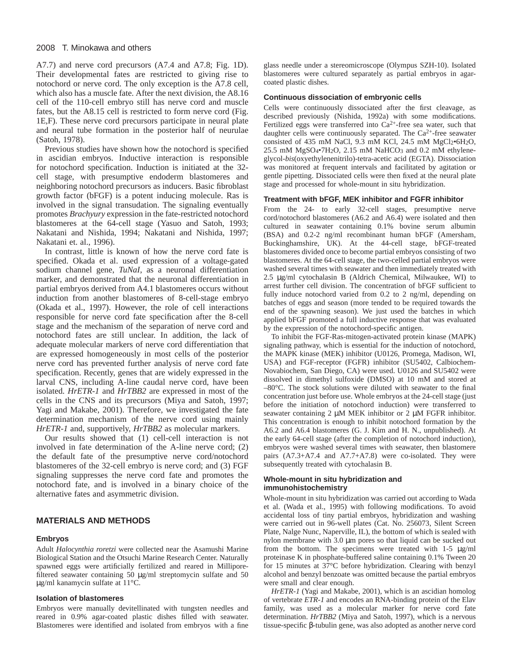#### 2008 T. Minokawa and others

A7.7) and nerve cord precursors (A7.4 and A7.8; Fig. 1D). Their developmental fates are restricted to giving rise to notochord or nerve cord. The only exception is the A7.8 cell, which also has a muscle fate. After the next division, the A8.16 cell of the 110-cell embryo still has nerve cord and muscle fates, but the A8.15 cell is restricted to form nerve cord (Fig. 1E,F). These nerve cord precursors participate in neural plate and neural tube formation in the posterior half of neurulae (Satoh, 1978).

Previous studies have shown how the notochord is specified in ascidian embryos. Inductive interaction is responsible for notochord specification. Induction is initiated at the 32 cell stage, with presumptive endoderm blastomeres and neighboring notochord precursors as inducers. Basic fibroblast growth factor (bFGF) is a potent inducing molecule. Ras is involved in the signal transudation. The signaling eventually promotes *Brachyury* expression in the fate-restricted notochord blastomeres at the 64-cell stage (Yasuo and Satoh, 1993; Nakatani and Nishida, 1994; Nakatani and Nishida, 1997; Nakatani et. al., 1996).

In contrast, little is known of how the nerve cord fate is specified. Okada et al. used expression of a voltage-gated sodium channel gene, *TuNaI*, as a neuronal differentiation marker, and demonstrated that the neuronal differentiation in partial embryos derived from A4.1 blastomeres occurs without induction from another blastomeres of 8-cell-stage embryo (Okada et al., 1997). However, the role of cell interactions responsible for nerve cord fate specification after the 8-cell stage and the mechanism of the separation of nerve cord and notochord fates are still unclear. In addition, the lack of adequate molecular markers of nerve cord differentiation that are expressed homogeneously in most cells of the posterior nerve cord has prevented further analysis of nerve cord fate specification. Recently, genes that are widely expressed in the larval CNS, including A-line caudal nerve cord, have been isolated. *HrETR-1* and *HrTBB2* are expressed in most of the cells in the CNS and its precursors (Miya and Satoh, 1997; Yagi and Makabe, 2001). Therefore, we investigated the fate determination mechanism of the nerve cord using mainly *HrETR-1* and, supportively, *HrTBB2* as molecular markers.

Our results showed that (1) cell-cell interaction is not involved in fate determination of the A-line nerve cord; (2) the default fate of the presumptive nerve cord/notochord blastomeres of the 32-cell embryo is nerve cord; and (3) FGF signaling suppresses the nerve cord fate and promotes the notochord fate, and is involved in a binary choice of the alternative fates and asymmetric division.

#### **MATERIALS AND METHODS**

#### **Embryos**

Adult *Halocynthia roretzi* were collected near the Asamushi Marine Biological Station and the Otsuchi Marine Research Center. Naturally spawned eggs were artificially fertilized and reared in Milliporefiltered seawater containing 50  $\mu$ g/ml streptomycin sulfate and 50 µg/ml kanamycin sulfate at 11°C.

#### **Isolation of blastomeres**

Embryos were manually devitellinated with tungsten needles and reared in 0.9% agar-coated plastic dishes filled with seawater. Blastomeres were identified and isolated from embryos with a fine

glass needle under a stereomicroscope (Olympus SZH-10). Isolated blastomeres were cultured separately as partial embryos in agarcoated plastic dishes.

#### **Continuous dissociation of embryonic cells**

Cells were continuously dissociated after the first cleavage, as described previously (Nishida, 1992a) with some modifications. Fertilized eggs were transferred into Ca<sup>2+</sup>-free sea water, such that daughter cells were continuously separated. The  $Ca^{2+}$ -free seawater consisted of 435 mM NaCl, 9.3 mM KCl, 24.5 mM  $MgCl_2 \cdot 6H_2O$ , 25.5 mM  $MgSO_4$ <sup>•7</sup>H<sub>2</sub>O, 2.15 mM NaHCO<sub>3</sub> and 0.2 mM ethyleneglycol-*bis*(oxyethylenenitrilo)-tetra-acetic acid (EGTA). Dissociation was monitored at frequent intervals and facilitated by agitation or gentle pipetting. Dissociated cells were then fixed at the neural plate stage and processed for whole-mount in situ hybridization.

#### **Treatment with bFGF, MEK inhibitor and FGFR inhibitor**

From the 24- to early 32-cell stages, presumptive nerve cord/notochord blastomeres (A6.2 and A6.4) were isolated and then cultured in seawater containing 0.1% bovine serum albumin (BSA) and 0.2-2 ng/ml recombinant human bFGF (Amersham, Buckinghamshire, UK). At the 44-cell stage, bFGF-treated blastomeres divided once to become partial embryos consisting of two blastomeres. At the 64-cell stage, the two-celled partial embryos were washed several times with seawater and then immediately treated with 2.5 µg/ml cytochalasin B (Aldrich Chemical, Milwaukee, WI) to arrest further cell division. The concentration of bFGF sufficient to fully induce notochord varied from 0.2 to 2 ng/ml, depending on batches of eggs and season (more tended to be required towards the end of the spawning season). We just used the batches in which applied bFGF promoted a full inductive response that was evaluated by the expression of the notochord-specific antigen.

To inhibit the FGF-Ras-mitogen-activated protein kinase (MAPK) signaling pathway, which is essential for the induction of notochord, the MAPK kinase (MEK) inhibitor (U0126, Promega, Madison, WI, USA) and FGF-receptor (FGFR) inhibitor (SU5402, Calbiochem-Novabiochem, San Diego, CA) were used. U0126 and SU5402 were dissolved in dimethyl sulfoxide (DMSO) at 10 mM and stored at –80°C. The stock solutions were diluted with seawater to the final concentration just before use. Whole embryos at the 24-cell stage (just before the initiation of notochord induction) were transferred to seawater containing 2  $\mu$ M MEK inhibitor or 2  $\mu$ M FGFR inhibitor. This concentration is enough to inhibit notochord formation by the A6.2 and A6.4 blastomeres (G. J. Kim and H. N., unpublished). At the early 64-cell stage (after the completion of notochord induction), embryos were washed several times with seawater, then blastomere pairs (A7.3+A7.4 and A7.7+A7.8) were co-isolated. They were subsequently treated with cytochalasin B.

## **Whole-mount in situ hybridization and immunohistochemistry**

Whole-mount in situ hybridization was carried out according to Wada et al. (Wada et al., 1995) with following modifications. To avoid accidental loss of tiny partial embryos, hybridization and washing were carried out in 96-well plates (Cat. No. 256073, Silent Screen Plate, Nalge Nunc, Naperville, IL), the bottom of which is sealed with nylon membrane with 3.0 µm pores so that liquid can be sucked out from the bottom. The specimens were treated with 1-5 µg/ml proteinase K in phosphate-buffered saline containing 0.1% Tween 20 for 15 minutes at 37°C before hybridization. Clearing with benzyl alcohol and benzyl benzoate was omitted because the partial embryos were small and clear enough.

*HrETR-1* (Yagi and Makabe, 2001), which is an ascidian homolog of vertebrate *ETR-1* and encodes an RNA-binding protein of the Elav family, was used as a molecular marker for nerve cord fate determination. *HrTBB2* (Miya and Satoh, 1997), which is a nervous tissue-specific β-tubulin gene, was also adopted as another nerve cord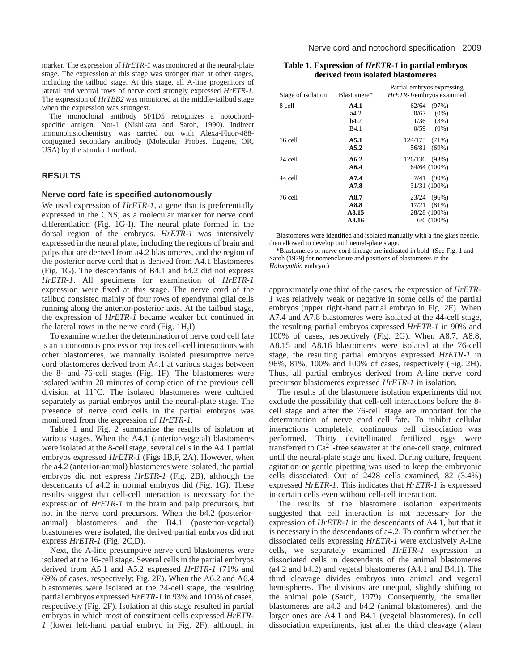marker. The expression of *HrETR-1* was monitored at the neural-plate stage. The expression at this stage was stronger than at other stages, including the tailbud stage. At this stage, all A-line progenitors of lateral and ventral rows of nerve cord strongly expressed *HrETR-1*. The expression of *HrTBB2* was monitored at the middle-tailbud stage when the expression was strongest.

The monoclonal antibody 5F1D5 recognizes a notochordspecific antigen, Not-1 (Nishikata and Satoh, 1990). Indirect immunohistochemistry was carried out with Alexa-Fluor-488 conjugated secondary antibody (Molecular Probes, Eugene, OR, USA) by the standard method.

## **RESULTS**

## **Nerve cord fate is specified autonomously**

We used expression of *HrETR-1*, a gene that is preferentially expressed in the CNS, as a molecular marker for nerve cord differentiation (Fig. 1G-I). The neural plate formed in the dorsal region of the embryos. *HrETR-1* was intensively expressed in the neural plate, including the regions of brain and palps that are derived from a4.2 blastomeres, and the region of the posterior nerve cord that is derived from A4.1 blastomeres (Fig. 1G). The descendants of B4.1 and b4.2 did not express *HrETR-1*. All specimens for examination of *HrETR-1* expression were fixed at this stage. The nerve cord of the tailbud consisted mainly of four rows of ependymal glial cells running along the anterior-posterior axis. At the tailbud stage, the expression of *HrETR-1* became weaker but continued in the lateral rows in the nerve cord (Fig. 1H,I).

To examine whether the determination of nerve cord cell fate is an autonomous process or requires cell-cell interactions with other blastomeres, we manually isolated presumptive nerve cord blastomeres derived from A4.1 at various stages between the 8- and 76-cell stages (Fig. 1F). The blastomeres were isolated within 20 minutes of completion of the previous cell division at 11°C. The isolated blastomeres were cultured separately as partial embryos until the neural-plate stage. The presence of nerve cord cells in the partial embryos was monitored from the expression of *HrETR-1*.

Table 1 and Fig. 2 summarize the results of isolation at various stages. When the A4.1 (anterior-vegetal) blastomeres were isolated at the 8-cell stage, several cells in the A4.1 partial embryos expressed *HrETR-1* (Figs 1B,F, 2A). However, when the a4.2 (anterior-animal) blastomeres were isolated, the partial embryos did not express *HrETR-1* (Fig. 2B), although the descendants of a4.2 in normal embryos did (Fig. 1G). These results suggest that cell-cell interaction is necessary for the expression of *HrETR-1* in the brain and palp precursors, but not in the nerve cord precursors. When the b4.2 (posterioranimal) blastomeres and the B4.1 (posterior-vegetal) blastomeres were isolated, the derived partial embryos did not express *HrETR-1* (Fig. 2C,D).

Next, the A-line presumptive nerve cord blastomeres were isolated at the 16-cell stage. Several cells in the partial embryos derived from A5.1 and A5.2 expressed *HrETR-1* (71% and 69% of cases, respectively; Fig. 2E). When the A6.2 and A6.4 blastomeres were isolated at the 24-cell stage, the resulting partial embryos expressed *HrETR-1* in 93% and 100% of cases, respectively (Fig. 2F). Isolation at this stage resulted in partial embryos in which most of constituent cells expressed *HrETR-1* (lower left-hand partial embryo in Fig. 2F), although in

**Table 1. Expression of** *HrETR-1* **in partial embryos derived from isolated blastomeres**

| Stage of isolation | Blastomere* | Partial embryos expressing<br>HrETR-1/embryos examined |
|--------------------|-------------|--------------------------------------------------------|
| 8 cell             | A4.1        | 62/64<br>(97%)                                         |
|                    | a4.2        | 0/67<br>$(0\%)$                                        |
|                    | h4.2        | 1/36<br>(3%)                                           |
|                    | <b>B4.1</b> | 0/59<br>$(0\%)$                                        |
| $16$ cell          | A5.1        | 124/175<br>$(71\%)$                                    |
|                    | A5.2        | 56/81<br>$(69\%)$                                      |
| $24$ cell          | A6.2        | 126/136 (93%)                                          |
|                    | A6.4        | 64/64 (100%)                                           |
| 44 cell            | A7.4        | $(90\%)$<br>37/41                                      |
|                    | A7.8        | 31/31 (100%)                                           |
| 76 cell            | A8.7        | $(96\%)$<br>23/24                                      |
|                    | A8.8        | $(81\%)$<br>17/21                                      |
|                    | A8.15       | 28/28 (100%)                                           |
|                    | A8.16       | $6/6$ (100%)                                           |
|                    |             |                                                        |

Blastomeres were identified and isolated manually with a fine glass needle, then allowed to develop until neural-plate stage.

\*Blastomeres of nerve cord lineage are indicated in bold. (See Fig. 1 and Satoh (1979) for nomenclature and positions of blastomeres in the *Halocynthia* embryo.)

approximately one third of the cases, the expression of *HrETR-1* was relatively weak or negative in some cells of the partial embryos (upper right-hand partial embryo in Fig. 2F). When A7.4 and A7.8 blastomeres were isolated at the 44-cell stage, the resulting partial embryos expressed *HrETR-1* in 90% and 100% of cases, respectively (Fig. 2G). When A8.7, A8.8, A8.15 and A8.16 blastomeres were isolated at the 76-cell stage, the resulting partial embryos expressed *HrETR-1* in 96%, 81%, 100% and 100% of cases, respectively (Fig. 2H). Thus, all partial embryos derived from A-line nerve cord precursor blastomeres expressed *HrETR-1* in isolation.

The results of the blastomere isolation experiments did not exclude the possibility that cell-cell interactions before the 8 cell stage and after the 76-cell stage are important for the determination of nerve cord cell fate. To inhibit cellular interactions completely, continuous cell dissociation was performed. Thirty devitellinated fertilized eggs were transferred to  $Ca^{2+}$ -free seawater at the one-cell stage, cultured until the neural-plate stage and fixed. During culture, frequent agitation or gentle pipetting was used to keep the embryonic cells dissociated. Out of 2428 cells examined, 82 (3.4%) expressed *HrETR-1*. This indicates that *HrETR-1* is expressed in certain cells even without cell-cell interaction.

The results of the blastomere isolation experiments suggested that cell interaction is not necessary for the expression of *HrETR-1* in the descendants of A4.1, but that it is necessary in the descendants of a4.2. To confirm whether the dissociated cells expressing *HrETR-1* were exclusively A-line cells, we separately examined *HrETR-1* expression in dissociated cells in descendants of the animal blastomeres (a4.2 and b4.2) and vegetal blastomeres (A4.1 and B4.1). The third cleavage divides embryos into animal and vegetal hemispheres. The divisions are unequal, slightly shifting to the animal pole (Satoh, 1979). Consequently, the smaller blastomeres are a4.2 and b4.2 (animal blastomeres), and the larger ones are A4.1 and B4.1 (vegetal blastomeres). In cell dissociation experiments, just after the third cleavage (when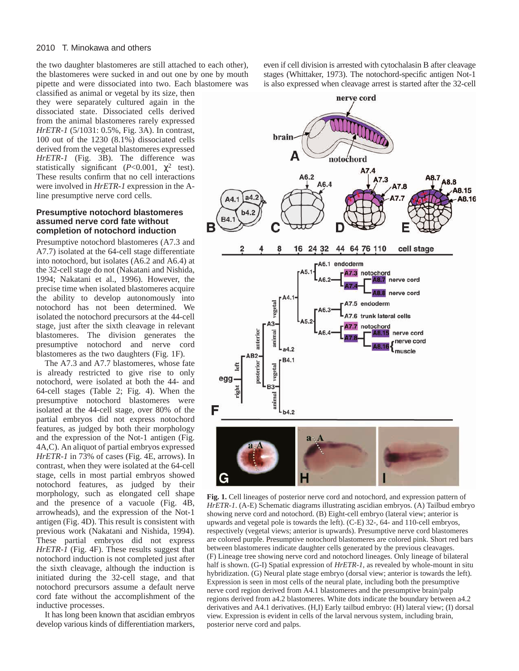the two daughter blastomeres are still attached to each other), the blastomeres were sucked in and out one by one by mouth pipette and were dissociated into two. Each blastomere was

classified as animal or vegetal by its size, then they were separately cultured again in the dissociated state. Dissociated cells derived from the animal blastomeres rarely expressed *HrETR-1* (5/1031: 0.5%, Fig. 3A). In contrast, 100 out of the 1230 (8.1%) dissociated cells derived from the vegetal blastomeres expressed *HrETR-1* (Fig. 3B). The difference was statistically significant ( $P < 0.001$ ,  $\chi^2$  test). These results confirm that no cell interactions were involved in *HrETR-1* expression in the Aline presumptive nerve cord cells.

## **Presumptive notochord blastomeres assumed nerve cord fate without completion of notochord induction**

Presumptive notochord blastomeres (A7.3 and A7.7) isolated at the 64-cell stage differentiate into notochord, but isolates (A6.2 and A6.4) at the 32-cell stage do not (Nakatani and Nishida, 1994; Nakatani et al., 1996). However, the precise time when isolated blastomeres acquire the ability to develop autonomously into notochord has not been determined. We isolated the notochord precursors at the 44-cell stage, just after the sixth cleavage in relevant blastomeres. The division generates the presumptive notochord and nerve cord blastomeres as the two daughters (Fig. 1F).

The A7.3 and A7.7 blastomeres, whose fate is already restricted to give rise to only notochord, were isolated at both the 44- and 64-cell stages (Table 2; Fig. 4). When the presumptive notochord blastomeres were isolated at the 44-cell stage, over 80% of the partial embryos did not express notochord features, as judged by both their morphology and the expression of the Not-1 antigen (Fig. 4A,C). An aliquot of partial embryos expressed *HrETR-1* in 73% of cases (Fig. 4E, arrows). In contrast, when they were isolated at the 64-cell stage, cells in most partial embryos showed notochord features, as judged by their morphology, such as elongated cell shape and the presence of a vacuole (Fig. 4B, arrowheads), and the expression of the Not-1 antigen (Fig. 4D). This result is consistent with previous work (Nakatani and Nishida, 1994). These partial embryos did not express *HrETR-1* (Fig. 4F). These results suggest that notochord induction is not completed just after the sixth cleavage, although the induction is initiated during the 32-cell stage, and that notochord precursors assume a default nerve cord fate without the accomplishment of the inductive processes.

It has long been known that ascidian embryos develop various kinds of differentiation markers,

even if cell division is arrested with cytochalasin B after cleavage stages (Whittaker, 1973). The notochord-specific antigen Not-1 is also expressed when cleavage arrest is started after the 32-cell



**Fig. 1.** Cell lineages of posterior nerve cord and notochord, and expression pattern of *HrETR-1*. (A-E) Schematic diagrams illustrating ascidian embryos. (A) Tailbud embryo showing nerve cord and notochord. (B) Eight-cell embryo (lateral view; anterior is upwards and vegetal pole is towards the left). (C-E) 32-, 64- and 110-cell embryos, respectively (vegetal views; anterior is upwards). Presumptive nerve cord blastomeres are colored purple. Presumptive notochord blastomeres are colored pink. Short red bars between blastomeres indicate daughter cells generated by the previous cleavages. (F) Lineage tree showing nerve cord and notochord lineages. Only lineage of bilateral half is shown. (G-I) Spatial expression of *HrETR-1*, as revealed by whole-mount in situ hybridization. (G) Neural plate stage embryo (dorsal view; anterior is towards the left). Expression is seen in most cells of the neural plate, including both the presumptive nerve cord region derived from A4.1 blastomeres and the presumptive brain/palp regions derived from a4.2 blastomeres. White dots indicate the boundary between a4.2 derivatives and A4.1 derivatives. (H,I) Early tailbud embryo: (H) lateral view; (I) dorsal view. Expression is evident in cells of the larval nervous system, including brain, posterior nerve cord and palps.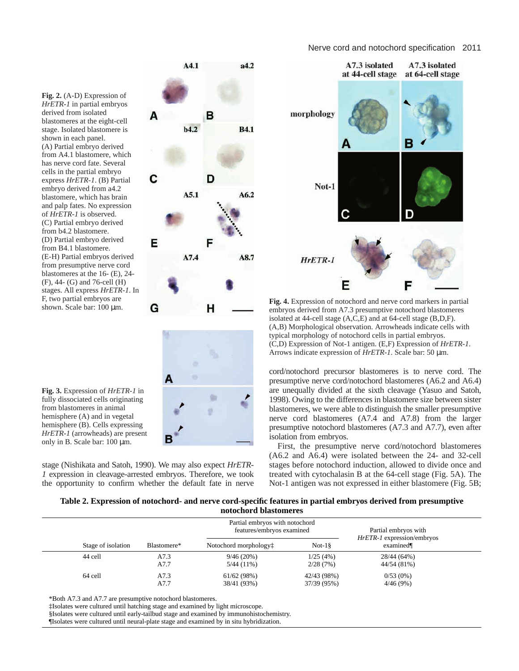## Nerve cord and notochord specification 2011

**Fig. 2.** (A-D) Expression of *HrETR-1* in partial embryos derived from isolated blastomeres at the eight-cell stage. Isolated blastomere is shown in each panel. (A) Partial embryo derived from A4.1 blastomere, which has nerve cord fate. Several cells in the partial embryo express *HrETR-1*. (B) Partial embryo derived from a4.2 blastomere, which has brain and palp fates. No expression of *HrETR-1* is observed. (C) Partial embryo derived from b4.2 blastomere. (D) Partial embryo derived from B4.1 blastomere. (E-H) Partial embryos derived from presumptive nerve cord blastomeres at the 16- (E), 24- (F), 44- (G) and 76-cell (H) stages. All express *HrETR-1*. In F, two partial embryos are shown. Scale bar: 100 µm.





**Fig. 4.** Expression of notochord and nerve cord markers in partial embryos derived from A7.3 presumptive notochord blastomeres isolated at 44-cell stage (A,C,E) and at 64-cell stage (B,D,F). (A,B) Morphological observation. Arrowheads indicate cells with typical morphology of notochord cells in partial embryos. (C,D) Expression of Not-1 antigen. (E,F) Expression of *HrETR-1*. Arrows indicate expression of *HrETR-1*. Scale bar: 50 µm.

cord/notochord precursor blastomeres is to nerve cord. The presumptive nerve cord/notochord blastomeres (A6.2 and A6.4) are unequally divided at the sixth cleavage (Yasuo and Satoh, 1998). Owing to the differences in blastomere size between sister blastomeres, we were able to distinguish the smaller presumptive nerve cord blastomeres (A7.4 and A7.8) from the larger presumptive notochord blastomeres (A7.3 and A7.7), even after isolation from embryos.

First, the presumptive nerve cord/notochord blastomeres (A6.2 and A6.4) were isolated between the 24- and 32-cell stages before notochord induction, allowed to divide once and treated with cytochalasin B at the 64-cell stage (Fig. 5A). The Not-1 antigen was not expressed in either blastomere (Fig. 5B;

## **Table 2. Expression of notochord- and nerve cord-specific features in partial embryos derived from presumptive notochord blastomeres**

|                    |             | Partial embryos with notochord<br>features/embryos examined |             | Partial embryos with<br><i>HrETR-1</i> expression/embryos |
|--------------------|-------------|-------------------------------------------------------------|-------------|-----------------------------------------------------------|
| Stage of isolation | Blastomere* | Notochord morphology <sup>†</sup>                           | $Not-18$    | examined                                                  |
| 44 cell            | A7.3        | 9/46(20%)                                                   | 1/25(4%)    | 28/44 (64%)                                               |
|                    | A7.7        | $5/44(11\%)$                                                | 2/28(7%)    | 44/54 (81%)                                               |
| 64 cell            | A7.3        | 61/62(98%)                                                  | 42/43 (98%) | 0/53(0%)                                                  |
|                    | A7.7        | 38/41 (93%)                                                 | 37/39 (95%) | 4/46(9%)                                                  |

\*Both A7.3 and A7.7 are presumptive notochord blastomeres.

‡Isolates were cultured until hatching stage and examined by light microscope.

§Isolates were cultured until early-tailbud stage and examined by immunohistochemistry.

¶Isolates were cultured until neural-plate stage and examined by in situ hybridization.

**Fig. 3.** Expression of *HrETR-1* in fully dissociated cells originating from blastomeres in animal hemisphere (A) and in vegetal hemisphere (B). Cells expressing *HrETR-1* (arrowheads) are present only in B. Scale bar: 100 µm.

stage (Nishikata and Satoh, 1990). We may also expect *HrETR-1* expression in cleavage-arrested embryos. Therefore, we took the opportunity to confirm whether the default fate in nerve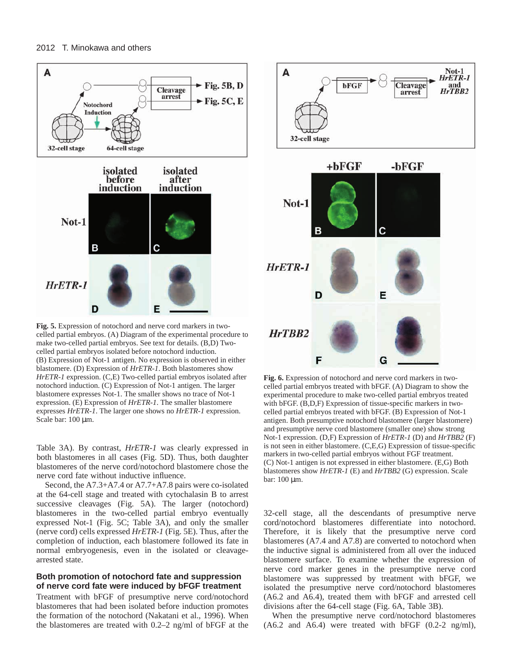

**Fig. 5.** Expression of notochord and nerve cord markers in twocelled partial embryos. (A) Diagram of the experimental procedure to make two-celled partial embryos. See text for details. (B,D) Twocelled partial embryos isolated before notochord induction. (B) Expression of Not-1 antigen. No expression is observed in either blastomere. (D) Expression of *HrETR-1*. Both blastomeres show *HrETR-1* expression. (C,E) Two-celled partial embryos isolated after notochord induction. (C) Expression of Not-1 antigen. The larger blastomere expresses Not-1. The smaller shows no trace of Not-1 expression. (E) Expression of *HrETR-1*. The smaller blastomere expresses *HrETR-1*. The larger one shows no *HrETR-1* expression. Scale bar: 100 µm.

Table 3A). By contrast, *HrETR-1* was clearly expressed in both blastomeres in all cases (Fig. 5D). Thus, both daughter blastomeres of the nerve cord/notochord blastomere chose the nerve cord fate without inductive influence.

Second, the A7.3+A7.4 or A7.7+A7.8 pairs were co-isolated at the 64-cell stage and treated with cytochalasin B to arrest successive cleavages (Fig. 5A). The larger (notochord) blastomeres in the two-celled partial embryo eventually expressed Not-1 (Fig. 5C; Table 3A), and only the smaller (nerve cord) cells expressed *HrETR-1* (Fig. 5E). Thus, after the completion of induction, each blastomere followed its fate in normal embryogenesis, even in the isolated or cleavagearrested state.

## **Both promotion of notochord fate and suppression of nerve cord fate were induced by bFGF treatment**

Treatment with bFGF of presumptive nerve cord/notochord blastomeres that had been isolated before induction promotes the formation of the notochord (Nakatani et al., 1996). When the blastomeres are treated with 0.2–2 ng/ml of bFGF at the





**Fig. 6.** Expression of notochord and nerve cord markers in twocelled partial embryos treated with bFGF. (A) Diagram to show the experimental procedure to make two-celled partial embryos treated with bFGF. (B,D,F) Expression of tissue-specific markers in twocelled partial embryos treated with bFGF. (B) Expression of Not-1 antigen. Both presumptive notochord blastomere (larger blastomere) and presumptive nerve cord blastomere (smaller one) show strong Not-1 expression. (D,F) Expression of *HrETR-1* (D) and *HrTBB2* (F) is not seen in either blastomere. (C,E,G) Expression of tissue-specific markers in two-celled partial embryos without FGF treatment. (C) Not-1 antigen is not expressed in either blastomere. (E,G) Both blastomeres show *HrETR-1* (E) and *HrTBB2* (G) expression. Scale bar: 100 µm.

32-cell stage, all the descendants of presumptive nerve cord/notochord blastomeres differentiate into notochord. Therefore, it is likely that the presumptive nerve cord blastomeres (A7.4 and A7.8) are converted to notochord when the inductive signal is administered from all over the induced blastomere surface. To examine whether the expression of nerve cord marker genes in the presumptive nerve cord blastomere was suppressed by treatment with bFGF, we isolated the presumptive nerve cord/notochord blastomeres (A6.2 and A6.4), treated them with bFGF and arrested cell divisions after the 64-cell stage (Fig. 6A, Table 3B).

When the presumptive nerve cord/notochord blastomeres  $(A6.2 \text{ and } A6.4)$  were treated with bFGF  $(0.2-2 \text{ ng/ml})$ ,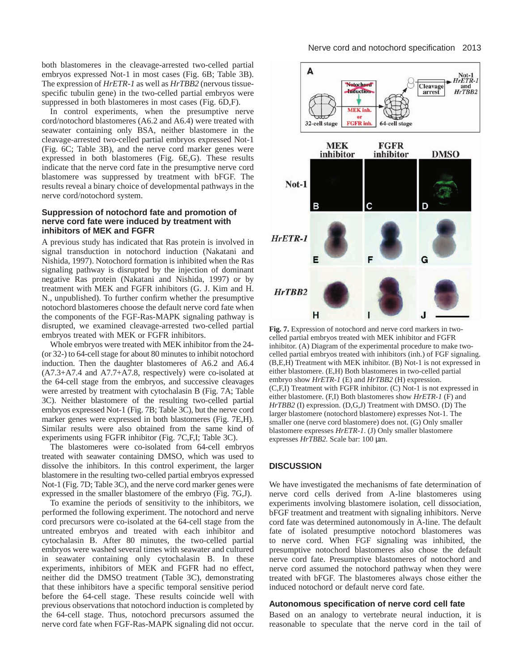both blastomeres in the cleavage-arrested two-celled partial embryos expressed Not-1 in most cases (Fig. 6B; Table 3B). The expression of *HrETR-1* as well as *HrTBB2* (nervous tissuespecific tubulin gene) in the two-celled partial embryos were suppressed in both blastomeres in most cases (Fig. 6D,F).

In control experiments, when the presumptive nerve cord/notochord blastomeres (A6.2 and A6.4) were treated with seawater containing only BSA, neither blastomere in the cleavage-arrested two-celled partial embryos expressed Not-1 (Fig. 6C; Table 3B), and the nerve cord marker genes were expressed in both blastomeres (Fig. 6E,G). These results indicate that the nerve cord fate in the presumptive nerve cord blastomere was suppressed by treatment with bFGF. The results reveal a binary choice of developmental pathways in the nerve cord/notochord system.

## **Suppression of notochord fate and promotion of nerve cord fate were induced by treatment with inhibitors of MEK and FGFR**

A previous study has indicated that Ras protein is involved in signal transduction in notochord induction (Nakatani and Nishida, 1997). Notochord formation is inhibited when the Ras signaling pathway is disrupted by the injection of dominant negative Ras protein (Nakatani and Nishida, 1997) or by treatment with MEK and FGFR inhibitors (G. J. Kim and H. N., unpublished). To further confirm whether the presumptive notochord blastomeres choose the default nerve cord fate when the components of the FGF-Ras-MAPK signaling pathway is disrupted, we examined cleavage-arrested two-celled partial embryos treated with MEK or FGFR inhibitors.

Whole embryos were treated with MEK inhibitor from the 24- (or 32-) to 64-cell stage for about 80 minutes to inhibit notochord induction. Then the daughter blastomeres of A6.2 and A6.4 (A7.3+A7.4 and A7.7+A7.8, respectively) were co-isolated at the 64-cell stage from the embryos, and successive cleavages were arrested by treatment with cytochalasin B (Fig. 7A; Table 3C). Neither blastomere of the resulting two-celled partial embryos expressed Not-1 (Fig. 7B; Table 3C), but the nerve cord marker genes were expressed in both blastomeres (Fig. 7E,H). Similar results were also obtained from the same kind of experiments using FGFR inhibitor (Fig. 7C,F,I; Table 3C).

The blastomeres were co-isolated from 64-cell embryos treated with seawater containing DMSO, which was used to dissolve the inhibitors. In this control experiment, the larger blastomere in the resulting two-celled partial embryos expressed Not-1 (Fig. 7D; Table 3C), and the nerve cord marker genes were expressed in the smaller blastomere of the embryo (Fig. 7G,J).

To examine the periods of sensitivity to the inhibitors, we performed the following experiment. The notochord and nerve cord precursors were co-isolated at the 64-cell stage from the untreated embryos and treated with each inhibitor and cytochalasin B. After 80 minutes, the two-celled partial embryos were washed several times with seawater and cultured in seawater containing only cytochalasin B. In these experiments, inhibitors of MEK and FGFR had no effect, neither did the DMSO treatment (Table 3C), demonstrating that these inhibitors have a specific temporal sensitive period before the 64-cell stage. These results coincide well with previous observations that notochord induction is completed by the 64-cell stage. Thus, notochord precursors assumed the nerve cord fate when FGF-Ras-MAPK signaling did not occur.



**Fig. 7.** Expression of notochord and nerve cord markers in twocelled partial embryos treated with MEK inhibitor and FGFR inhibitor. (A) Diagram of the experimental procedure to make twocelled partial embryos treated with inhibitors (inh.) of FGF signaling. (B,E,H) Treatment with MEK inhibitor. (B) Not-1 is not expressed in either blastomere. (E,H) Both blastomeres in two-celled partial embryo show *HrETR-1* (E) and *HrTBB2* (H) expression. (C,F,I) Treatment with FGFR inhibitor. (C) Not-1 is not expressed in either blastomere. (F,I) Both blastomeres show *HrETR-1* (F) and *HrTBB2* (I) expression. (D,G,J) Treatment with DMSO. (D) The larger blastomere (notochord blastomere) expresses Not-1. The smaller one (nerve cord blastomere) does not. (G) Only smaller blastomere expresses *HrETR-1*. (J) Only smaller blastomere expresses *HrTBB2.* Scale bar: 100 µm.

## **DISCUSSION**

We have investigated the mechanisms of fate determination of nerve cord cells derived from A-line blastomeres using experiments involving blastomere isolation, cell dissociation, bFGF treatment and treatment with signaling inhibitors. Nerve cord fate was determined autonomously in A-line. The default fate of isolated presumptive notochord blastomeres was to nerve cord. When FGF signaling was inhibited, the presumptive notochord blastomeres also chose the default nerve cord fate. Presumptive blastomeres of notochord and nerve cord assumed the notochord pathway when they were treated with bFGF. The blastomeres always chose either the induced notochord or default nerve cord fate.

#### **Autonomous specification of nerve cord cell fate**

Based on an analogy to vertebrate neural induction, it is reasonable to speculate that the nerve cord in the tail of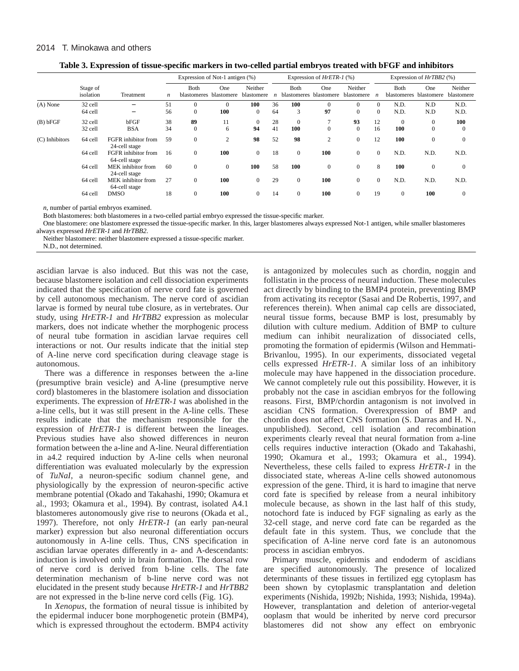## 2014 T. Minokawa and others

| Table 5. Expression of tissue-specific markers in two-cened partial embryos treated with Dr Gr and minibitors |                       |                                             |    |                                       |                |                       |                             |                            |                   |                            |                  |                            |                   |                       |
|---------------------------------------------------------------------------------------------------------------|-----------------------|---------------------------------------------|----|---------------------------------------|----------------|-----------------------|-----------------------------|----------------------------|-------------------|----------------------------|------------------|----------------------------|-------------------|-----------------------|
|                                                                                                               |                       |                                             |    | Expression of Not-1 antigen $(\%)$    |                |                       | Expression of $HrETR-1$ (%) |                            |                   | Expression of $HrTBB2$ (%) |                  |                            |                   |                       |
|                                                                                                               | Stage of<br>isolation | Treatment                                   | n  | <b>Both</b><br>blastomeres blastomere | One            | Neither<br>blastomere |                             | Both<br><b>blastomeres</b> | One<br>blastomere | Neither<br>blastomere      | $\boldsymbol{n}$ | Both<br><b>blastomeres</b> | One<br>blastomere | Neither<br>blastomere |
| (A) None                                                                                                      | 32 cell               |                                             | 51 |                                       | $\Omega$       | 100                   | 36                          | 100                        |                   |                            | $\Omega$         | N.D.                       | N.D               | N.D.                  |
|                                                                                                               | 64 cell               | $\overline{\phantom{0}}$                    | 56 | $\Omega$                              | 100            | $\Omega$              | 64                          | 3                          | 97                | 0                          | $\Omega$         | N.D.                       | N.D               | N.D.                  |
| (B) bFGF                                                                                                      | 32 cell               | bFGF                                        | 38 | 89                                    | 11             | $\Omega$              | 28                          | $\Omega$                   |                   | 93                         | 12               | $\Omega$                   | $\Omega$          | 100                   |
|                                                                                                               | 32 cell               | <b>BSA</b>                                  | 34 | $\Omega$                              | 6              | 94                    | 41                          | 100                        | 0                 | $\Omega$                   | 16               | 100                        | $\left($          | $\Omega$              |
| (C) Inhibitors                                                                                                | 64 cell               | <b>FGFR</b> inhibitor from<br>24-cell stage | 59 | $\Omega$                              | $\overline{c}$ | 98                    | 52                          | 98                         | $\sim$            | $\Omega$                   | 12               | 100                        | $\Omega$          |                       |
|                                                                                                               | 64 cell               | FGFR inhibitor from                         | 16 |                                       | 100            |                       | 18                          | $\Omega$                   | 100               |                            | $\Omega$         | N.D.                       | N.D.              | N.D.                  |

64 cell MEK inhibitor from 60 0 0 **100** 58 **100** 0 08 **100** 0 0

64 cell MEK inhibitor from 27 0 **100** 0 29 0 **100** 0 0 N.D. N.D. N.D.

64 cell DMSO 18 0 **100** 0 14 0 **100** 0 19 0 **100** 0

| Table 3. Expression of tissue-specific markers in two-celled partial embryos treated with bFGF and inhibitors |  |  |
|---------------------------------------------------------------------------------------------------------------|--|--|
|                                                                                                               |  |  |

*n*, number of partial embryos examined.

Both blastomeres: both blastomeres in a two-celled partial embryo expressed the tissue-specific marker.

One blastomere: one blastomere expressed the tissue-specific marker. In this, larger blastomeres always expressed Not-1 antigen, while smaller blastomeres always expressed *HrETR-1* and *HrTBB2*.

Neither blastomere: neither blastomere expressed a tissue-specific marker.

64-cell stage

64-cell stage

24-cell stage<br>MEK inhibitor from

N.D., not determined.

ascidian larvae is also induced. But this was not the case, because blastomere isolation and cell dissociation experiments indicated that the specification of nerve cord fate is governed by cell autonomous mechanism. The nerve cord of ascidian larvae is formed by neural tube closure, as in vertebrates. Our study, using *HrETR-1* and *HrTBB2* expression as molecular markers, does not indicate whether the morphogenic process of neural tube formation in ascidian larvae requires cell interactions or not. Our results indicate that the initial step of A-line nerve cord specification during cleavage stage is autonomous.

There was a difference in responses between the a-line (presumptive brain vesicle) and A-line (presumptive nerve cord) blastomeres in the blastomere isolation and dissociation experiments. The expression of *HrETR-1* was abolished in the a-line cells, but it was still present in the A-line cells. These results indicate that the mechanism responsible for the expression of *HrETR-1* is different between the lineages. Previous studies have also showed differences in neuron formation between the a-line and A-line. Neural differentiation in a4.2 required induction by A-line cells when neuronal differentiation was evaluated molecularly by the expression of *TuNaI*, a neuron-specific sodium channel gene, and physiologically by the expression of neuron-specific active membrane potential (Okado and Takahashi, 1990; Okamura et al., 1993; Okamura et al., 1994). By contrast, isolated A4.1 blastomeres autonomously give rise to neurons (Okada et al., 1997). Therefore, not only *HrETR-1* (an early pan-neural marker) expression but also neuronal differentiation occurs autonomously in A-line cells. Thus, CNS specification in ascidian larvae operates differently in a- and A-descendants: induction is involved only in brain formation. The dorsal row of nerve cord is derived from b-line cells. The fate determination mechanism of b-line nerve cord was not elucidated in the present study because *HrETR-1* and *HrTBB2* are not expressed in the b-line nerve cord cells (Fig. 1G).

In *Xenopus*, the formation of neural tissue is inhibited by the epidermal inducer bone morphogenetic protein (BMP4), which is expressed throughout the ectoderm. BMP4 activity is antagonized by molecules such as chordin, noggin and follistatin in the process of neural induction. These molecules act directly by binding to the BMP4 protein, preventing BMP from activating its receptor (Sasai and De Robertis, 1997, and references therein). When animal cap cells are dissociated, neural tissue forms, because BMP is lost, presumably by dilution with culture medium. Addition of BMP to culture medium can inhibit neuralization of dissociated cells, promoting the formation of epidermis (Wilson and Hemmati-Brivanlou, 1995). In our experiments, dissociated vegetal cells expressed *HrETR-1*. A similar loss of an inhibitory molecule may have happened in the dissociation procedure. We cannot completely rule out this possibility. However, it is probably not the case in ascidian embryos for the following reasons. First, BMP/chordin antagonism is not involved in ascidian CNS formation. Overexpression of BMP and chordin does not affect CNS formation (S. Darras and H. N., unpublished). Second, cell isolation and recombination experiments clearly reveal that neural formation from a-line cells requires inductive interaction (Okado and Takahashi, 1990; Okamura et al., 1993; Okamura et al., 1994). Nevertheless, these cells failed to express *HrETR-1* in the dissociated state, whereas A-line cells showed autonomous expression of the gene. Third, it is hard to imagine that nerve cord fate is specified by release from a neural inhibitory molecule because, as shown in the last half of this study, notochord fate is induced by FGF signaling as early as the 32-cell stage, and nerve cord fate can be regarded as the default fate in this system. Thus, we conclude that the specification of A-line nerve cord fate is an autonomous process in ascidian embryos.

Primary muscle, epidermis and endoderm of ascidians are specified autonomously. The presence of localized determinants of these tissues in fertilized egg cytoplasm has been shown by cytoplasmic transplantation and deletion experiments (Nishida, 1992b; Nishida, 1993; Nishida, 1994a). However, transplantation and deletion of anterior-vegetal ooplasm that would be inherited by nerve cord precursor blastomeres did not show any effect on embryonic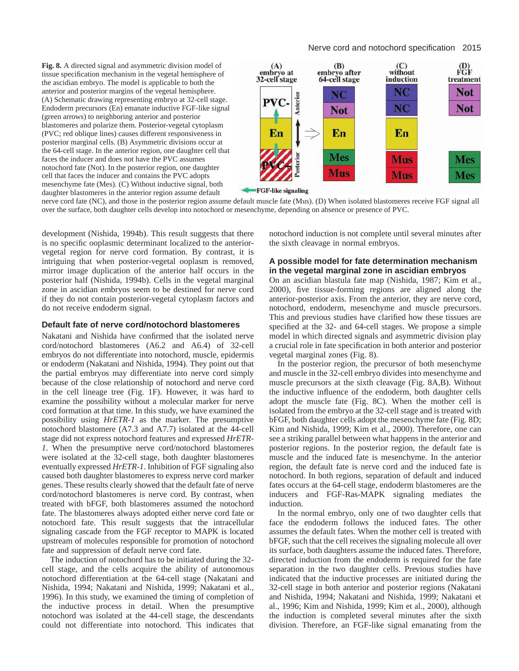**Fig. 8.** A directed signal and asymmetric division model of tissue specification mechanism in the vegetal hemisphere of the ascidian embryo. The model is applicable to both the anterior and posterior margins of the vegetal hemisphere. (A) Schematic drawing representing embryo at 32-cell stage. Endoderm precursors (En) emanate inductive FGF-like signal (green arrows) to neighboring anterior and posterior blastomeres and polarize them. Posterior-vegetal cytoplasm (PVC; red oblique lines) causes different responsiveness in posterior marginal cells. (B) Asymmetric divisions occur at the 64-cell stage. In the anterior region, one daughter cell that faces the inducer and does not have the PVC assumes notochord fate (Not). In the posterior region, one daughter cell that faces the inducer and contains the PVC adopts mesenchyme fate (Mes). (C) Without inductive signal, both daughter blastomeres in the anterior region assume default



**FGF-like signaling** 

nerve cord fate (NC), and those in the posterior region assume default muscle fate (Mus). (D) When isolated blastomeres receive FGF signal all over the surface, both daughter cells develop into notochord or mesenchyme, depending on absence or presence of PVC.

development (Nishida, 1994b). This result suggests that there is no specific ooplasmic determinant localized to the anteriorvegetal region for nerve cord formation. By contrast, it is intriguing that when posterior-vegetal ooplasm is removed, mirror image duplication of the anterior half occurs in the posterior half (Nishida, 1994b). Cells in the vegetal marginal zone in ascidian embryos seem to be destined for nerve cord if they do not contain posterior-vegetal cytoplasm factors and do not receive endoderm signal.

## **Default fate of nerve cord/notochord blastomeres**

Nakatani and Nishida have confirmed that the isolated nerve cord/notochord blastomeres (A6.2 and A6.4) of 32-cell embryos do not differentiate into notochord, muscle, epidermis or endoderm (Nakatani and Nishida, 1994). They point out that the partial embryos may differentiate into nerve cord simply because of the close relationship of notochord and nerve cord in the cell lineage tree (Fig. 1F). However, it was hard to examine the possibility without a molecular marker for nerve cord formation at that time. In this study, we have examined the possibility using *HrETR-1* as the marker. The presumptive notochord blastomere (A7.3 and A7.7) isolated at the 44-cell stage did not express notochord features and expressed *HrETR-1*. When the presumptive nerve cord/notochord blastomeres were isolated at the 32-cell stage, both daughter blastomeres eventually expressed *HrETR-1*. Inhibition of FGF signaling also caused both daughter blastomeres to express nerve cord marker genes. These results clearly showed that the default fate of nerve cord/notochord blastomeres is nerve cord. By contrast, when treated with bFGF, both blastomeres assumed the notochord fate. The blastomeres always adopted either nerve cord fate or notochord fate. This result suggests that the intracellular signaling cascade from the FGF receptor to MAPK is located upstream of molecules responsible for promotion of notochord fate and suppression of default nerve cord fate.

The induction of notochord has to be initiated during the 32 cell stage, and the cells acquire the ability of autonomous notochord differentiation at the 64-cell stage (Nakatani and Nishida, 1994; Nakatani and Nishida, 1999; Nakatani et al., 1996). In this study, we examined the timing of completion of the inductive process in detail. When the presumptive notochord was isolated at the 44-cell stage, the descendants could not differentiate into notochord. This indicates that

notochord induction is not complete until several minutes after the sixth cleavage in normal embryos.

## **A possible model for fate determination mechanism in the vegetal marginal zone in ascidian embryos**

On an ascidian blastula fate map (Nishida, 1987; Kim et al., 2000), five tissue-forming regions are aligned along the anterior-posterior axis. From the anterior, they are nerve cord, notochord, endoderm, mesenchyme and muscle precursors. This and previous studies have clarified how these tissues are specified at the 32- and 64-cell stages. We propose a simple model in which directed signals and asymmetric division play a crucial role in fate specification in both anterior and posterior vegetal marginal zones (Fig. 8).

In the posterior region, the precursor of both mesenchyme and muscle in the 32-cell embryo divides into mesenchyme and muscle precursors at the sixth cleavage (Fig. 8A,B). Without the inductive influence of the endoderm, both daughter cells adopt the muscle fate (Fig. 8C). When the mother cell is isolated from the embryo at the 32-cell stage and is treated with bFGF, both daughter cells adopt the mesenchyme fate (Fig. 8D; Kim and Nishida, 1999; Kim et al., 2000). Therefore, one can see a striking parallel between what happens in the anterior and posterior regions. In the posterior region, the default fate is muscle and the induced fate is mesenchyme. In the anterior region, the default fate is nerve cord and the induced fate is notochord. In both regions, separation of default and induced fates occurs at the 64-cell stage, endoderm blastomeres are the inducers and FGF-Ras-MAPK signaling mediates the induction.

In the normal embryo, only one of two daughter cells that face the endoderm follows the induced fates. The other assumes the default fates. When the mother cell is treated with bFGF, such that the cell receives the signaling molecule all over its surface, both daughters assume the induced fates. Therefore, directed induction from the endoderm is required for the fate separation in the two daughter cells. Previous studies have indicated that the inductive processes are initiated during the 32-cell stage in both anterior and posterior regions (Nakatani and Nishida, 1994; Nakatani and Nishida, 1999; Nakatani et al., 1996; Kim and Nishida, 1999; Kim et al., 2000), although the induction is completed several minutes after the sixth division. Therefore, an FGF-like signal emanating from the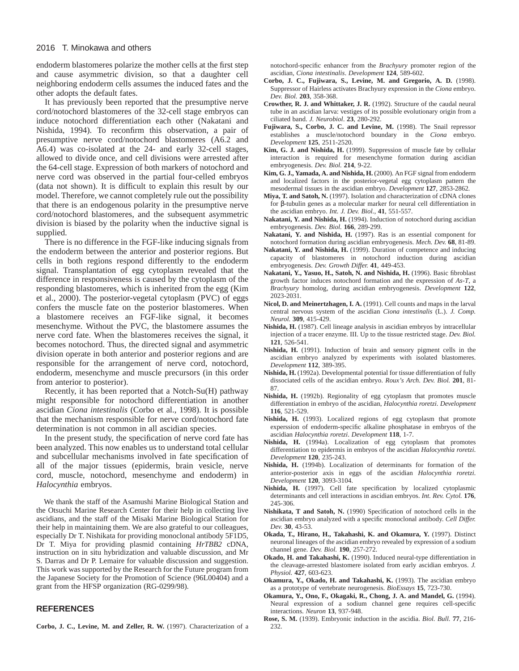#### 2016 T. Minokawa and others

endoderm blastomeres polarize the mother cells at the first step and cause asymmetric division, so that a daughter cell neighboring endoderm cells assumes the induced fates and the other adopts the default fates.

It has previously been reported that the presumptive nerve cord/notochord blastomeres of the 32-cell stage embryos can induce notochord differentiation each other (Nakatani and Nishida, 1994). To reconfirm this observation, a pair of presumptive nerve cord/notochord blastomeres (A6.2 and A6.4) was co-isolated at the 24- and early 32-cell stages, allowed to divide once, and cell divisions were arrested after the 64-cell stage. Expression of both markers of notochord and nerve cord was observed in the partial four-celled embryos (data not shown). It is difficult to explain this result by our model. Therefore, we cannot completely rule out the possibility that there is an endogenous polarity in the presumptive nerve cord/notochord blastomeres, and the subsequent asymmetric division is biased by the polarity when the inductive signal is supplied.

There is no difference in the FGF-like inducing signals from the endoderm between the anterior and posterior regions. But cells in both regions respond differently to the endoderm signal. Transplantation of egg cytoplasm revealed that the difference in responsiveness is caused by the cytoplasm of the responding blastomeres, which is inherited from the egg (Kim et al., 2000). The posterior-vegetal cytoplasm (PVC) of eggs confers the muscle fate on the posterior blastomeres. When a blastomere receives an FGF-like signal, it becomes mesenchyme. Without the PVC, the blastomere assumes the nerve cord fate. When the blastomeres receives the signal, it becomes notochord. Thus, the directed signal and asymmetric division operate in both anterior and posterior regions and are responsible for the arrangement of nerve cord, notochord, endoderm, mesenchyme and muscle precursors (in this order from anterior to posterior).

Recently, it has been reported that a Notch-Su(H) pathway might responsible for notochord differentiation in another ascidian *Ciona intestinalis* (Corbo et al., 1998). It is possible that the mechanism responsible for nerve cord/notochord fate determination is not common in all ascidian species.

In the present study, the specification of nerve cord fate has been analyzed. This now enables us to understand total cellular and subcellular mechanisms involved in fate specification of all of the major tissues (epidermis, brain vesicle, nerve cord, muscle, notochord, mesenchyme and endoderm) in *Halocynthia* embryos.

We thank the staff of the Asamushi Marine Biological Station and the Otsuchi Marine Research Center for their help in collecting live ascidians, and the staff of the Misaki Marine Biological Station for their help in maintaining them. We are also grateful to our colleagues, especially Dr T. Nishikata for providing monoclonal antibody 5F1D5, Dr T. Miya for providing plasmid containing *HrTBB2* cDNA, instruction on in situ hybridization and valuable discussion, and Mr S. Darras and Dr P. Lemaire for valuable discussion and suggestion. This work was supported by the Research for the Future program from the Japanese Society for the Promotion of Science (96L00404) and a grant from the HFSP organization (RG-0299/98).

## **REFERENCES**

**Corbo, J. C., Levine, M. and Zeller, R. W.** (1997). Characterization of a

notochord-specific enhancer from the *Brachyury* promoter region of the ascidian, *Ciona intestinalis*. *Development* **124**, 589-602.

- **Corbo, J. C., Fujiwara, S., Levine, M. and Gregorio, A. D.** (1998). Suppressor of Hairless activates Brachyury expression in the *Ciona* embryo. *Dev. Biol.* **203**, 358-368.
- **Crowther, R. J. and Whittaker, J. R.** (1992). Structure of the caudal neural tube in an ascidian larva: vestiges of its possible evolutionary origin from a ciliated band. *J. Neurobiol*. **23**, 280-292.
- **Fujiwara, S., Corbo, J. C. and Levine, M.** (1998). The Snail repressor establishes a muscle/notochord boundary in the *Ciona* embryo. *Development* **125**, 2511-2520.
- **Kim, G. J. and Nishida, H.** (1999). Suppression of muscle fate by cellular interaction is required for mesenchyme formation during ascidian embryogenesis. *Dev. Biol.* **214**, 9-22.
- **Kim, G. J., Yamada, A. and Nishida, H.** (2000). An FGF signal from endoderm and localized factors in the posterior-vegetal egg cytoplasm pattern the mesodermal tissues in the ascidian embryo. *Development* **127**, 2853-2862.
- **Miya, T. and Satoh, N.** (1997). Isolation and characterization of cDNA clones for β-tubulin genes as a molecular marker for neural cell differentiation in the ascidian embryo. *Int. J. Dev. Biol.*, **41**, 551-557.
- Nakatani, Y. and Nishida, H. (1994). Induction of notochord during ascidian embryogenesis. *Dev. Biol.* **166**, 289-299.
- **Nakatani, Y. and Nishida, H.** (1997). Ras is an essential component for notochord formation during ascidian embryogenesis. *Mech. Dev.* **68**, 81-89.
- **Nakatani, Y. and Nishida, H.** (1999). Duration of competence and inducing capacity of blastomeres in notochord induction during ascidian embryogenesis. *Dev. Growth Differ.* **41**, 449-453.
- Nakatani, Y., Yasuo, H., Satoh, N. and Nishida, H. (1996). Basic fibroblast growth factor induces notochord formation and the expression of *As-T*, a *Brachyury* homolog, during ascidian embryogenesis. *Development* **122**, 2023-2031.
- Nicol, D. and Meinertzhagen, I. A. (1991). Cell counts and maps in the larval central nervous system of the ascidian *Ciona intestinalis* (L.). *J. Comp. Neurol.* **309**, 415-429.
- **Nishida, H.** (1987). Cell lineage analysis in ascidian embryos by intracellular injection of a tracer enzyme. III. Up to the tissue restricted stage. *Dev. Biol.* **121**, 526-541.
- **Nishida, H.** (1991). Induction of brain and sensory pigment cells in the ascidian embryo analyzed by experiments with isolated blastomeres. *Development* **112**, 389-395.
- **Nishida, H.** (1992a). Developmental potential for tissue differentiation of fully dissociated cells of the ascidian embryo. *Roux's Arch. Dev. Biol.* **201**, 81- 87.
- **Nishida, H.** (1992b). Regionality of egg cytoplasm that promotes muscle differentiation in embryo of the ascidian, *Halocynthia roretzi*. *Development* **116**, 521-529.
- Nishida, H. (1993). Localized regions of egg cytoplasm that promote experssion of endoderm-specific alkaline phosphatase in embryos of the ascidian *Halocynthia roretzi*. *Development* **118**, 1-7.
- **Nishida, H.** (1994a). Localization of egg cytoplasm that promotes differentiation to epidermis in embryos of the ascidian *Halocynthia roretzi*. *Development* **120**, 235-243.
- **Nishida, H.** (1994b). Localization of determinants for formation of the anterior-posterior axis in eggs of the ascidian *Halocynthia roretzi*. *Development* **120**, 3093-3104.
- **Nishida, H.** (1997). Cell fate specification by localized cytoplasmic determinants and cell interactions in ascidian embryos. *Int. Rev. Cytol.* **176**, 245-306.
- **Nishikata, T and Satoh, N.** (1990) Specification of notochord cells in the ascidian embryo analyzed with a specific monoclonal antibody. *Cell Differ. Dev.* **30**, 43-53.
- **Okada, T., Hirano, H., Takahashi, K. and Okamura, Y.** (1997). Distinct neuronal lineages of the ascidian embryo revealed by expression of a sodium channel gene. *Dev. Biol.* **190**, 257-272.
- **Okado, H. and Takahashi, K.** (1990). Induced neural-type differentiation in the cleavage-arrested blastomere isolated from early ascidian embryos. *J. Physiol.* **427**, 603-623.
- **Okamura, Y., Okado, H. and Takahashi, K.** (1993). The ascidian embryo as a prototype of vertebrate neurogenesis. *BioEssays* **15**, 723-730.
- **Okamura, Y., Ono, F., Okagaki, R., Chong, J. A. and Mandel, G.** (1994). Neural expression of a sodium channel gene requires cell-specific interactions. *Neuron* **13**, 937-948.
- **Rose, S. M.** (1939). Embryonic induction in the ascidia. *Biol. Bull.* **77**, 216- 232.